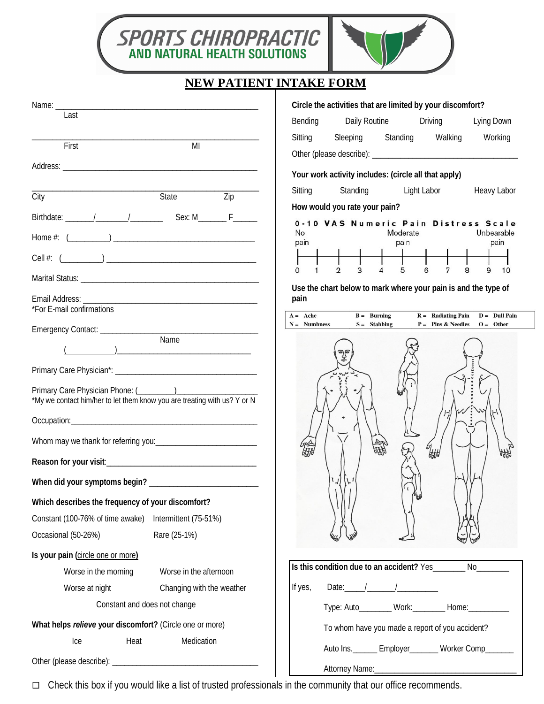

## **NEW PATIENT INTAKE FORM**

|                                                                                                                                                                                                                                                                                                                                                                    | Circle the activities that are limited by your discomfort?                                |  |
|--------------------------------------------------------------------------------------------------------------------------------------------------------------------------------------------------------------------------------------------------------------------------------------------------------------------------------------------------------------------|-------------------------------------------------------------------------------------------|--|
| Last                                                                                                                                                                                                                                                                                                                                                               | Daily Routine <b>Driving</b><br>Lying Down<br>Bending                                     |  |
| First<br>MI                                                                                                                                                                                                                                                                                                                                                        | Sleeping Standing Walking<br>Working<br>Sitting                                           |  |
|                                                                                                                                                                                                                                                                                                                                                                    |                                                                                           |  |
|                                                                                                                                                                                                                                                                                                                                                                    | Your work activity includes: (circle all that apply)                                      |  |
| State<br>City<br>Zip                                                                                                                                                                                                                                                                                                                                               | Standing Light Labor<br>Sitting<br>Heavy Labor                                            |  |
|                                                                                                                                                                                                                                                                                                                                                                    | How would you rate your pain?                                                             |  |
|                                                                                                                                                                                                                                                                                                                                                                    | 0-10 VAS Numeric Pain Distress Scale<br>No<br>Moderate<br>Unbearable                      |  |
|                                                                                                                                                                                                                                                                                                                                                                    | pain<br>pain<br>pain                                                                      |  |
| Cell #: $($                                                                                                                                                                                                                                                                                                                                                        | 3<br>$\overline{\mathbf{4}}$<br>5<br>$\mathfrak{D}$<br>6<br>7<br>8<br>9<br>$\Omega$<br>10 |  |
|                                                                                                                                                                                                                                                                                                                                                                    |                                                                                           |  |
|                                                                                                                                                                                                                                                                                                                                                                    | Use the chart below to mark where your pain is and the type of<br>pain                    |  |
| *For E-mail confirmations                                                                                                                                                                                                                                                                                                                                          | $B =$ Burning<br>$A = Ache$<br>$R =$ Radiating Pain<br>$D =$ Dull Pain                    |  |
|                                                                                                                                                                                                                                                                                                                                                                    | $S =$ Stabbing<br>$P =$ Pins & Needles<br>$O =$ Other<br>$N =$ Numbness                   |  |
| $\begin{picture}(150,10) \put(0,0){\vector(1,0){100}} \put(15,0){\vector(1,0){100}} \put(15,0){\vector(1,0){100}} \put(15,0){\vector(1,0){100}} \put(15,0){\vector(1,0){100}} \put(15,0){\vector(1,0){100}} \put(15,0){\vector(1,0){100}} \put(15,0){\vector(1,0){100}} \put(15,0){\vector(1,0){100}} \put(15,0){\vector(1,0){100}} \put(15,0){\vector(1,0){100}}$ |                                                                                           |  |
|                                                                                                                                                                                                                                                                                                                                                                    |                                                                                           |  |
| Primary Care Physician Phone: (________)                                                                                                                                                                                                                                                                                                                           |                                                                                           |  |
| *My we contact him/her to let them know you are treating with us? Y or N                                                                                                                                                                                                                                                                                           |                                                                                           |  |
|                                                                                                                                                                                                                                                                                                                                                                    |                                                                                           |  |
|                                                                                                                                                                                                                                                                                                                                                                    |                                                                                           |  |
|                                                                                                                                                                                                                                                                                                                                                                    | $\mathscr{C}_{\text{H}}$                                                                  |  |
|                                                                                                                                                                                                                                                                                                                                                                    | $\mathfrak{r}_{\perp}$                                                                    |  |
| Which describes the frequency of your discomfort?                                                                                                                                                                                                                                                                                                                  |                                                                                           |  |
| Constant (100-76% of time awake)<br>Intermittent (75-51%)                                                                                                                                                                                                                                                                                                          |                                                                                           |  |
| Rare (25-1%)<br>Occasional (50-26%)                                                                                                                                                                                                                                                                                                                                |                                                                                           |  |
| Is your pain (circle one or more)                                                                                                                                                                                                                                                                                                                                  |                                                                                           |  |
| Worse in the morning<br>Worse in the afternoon                                                                                                                                                                                                                                                                                                                     | Is this condition due to an accident? Yes<br>No                                           |  |
| Worse at night<br>Changing with the weather                                                                                                                                                                                                                                                                                                                        | Date: $1 - 1$<br>If yes,                                                                  |  |
| Constant and does not change                                                                                                                                                                                                                                                                                                                                       | Type: Auto________ Work:________ Home:__________                                          |  |
| What helps relieve your discomfort? (Circle one or more)                                                                                                                                                                                                                                                                                                           |                                                                                           |  |
| Medication<br>Heat<br>Ice                                                                                                                                                                                                                                                                                                                                          | To whom have you made a report of you accident?                                           |  |
|                                                                                                                                                                                                                                                                                                                                                                    | Auto Ins. ________ Employer________ Worker Comp_______                                    |  |
|                                                                                                                                                                                                                                                                                                                                                                    |                                                                                           |  |

Check this box if you would like a list of trusted professionals in the community that our office recommends.